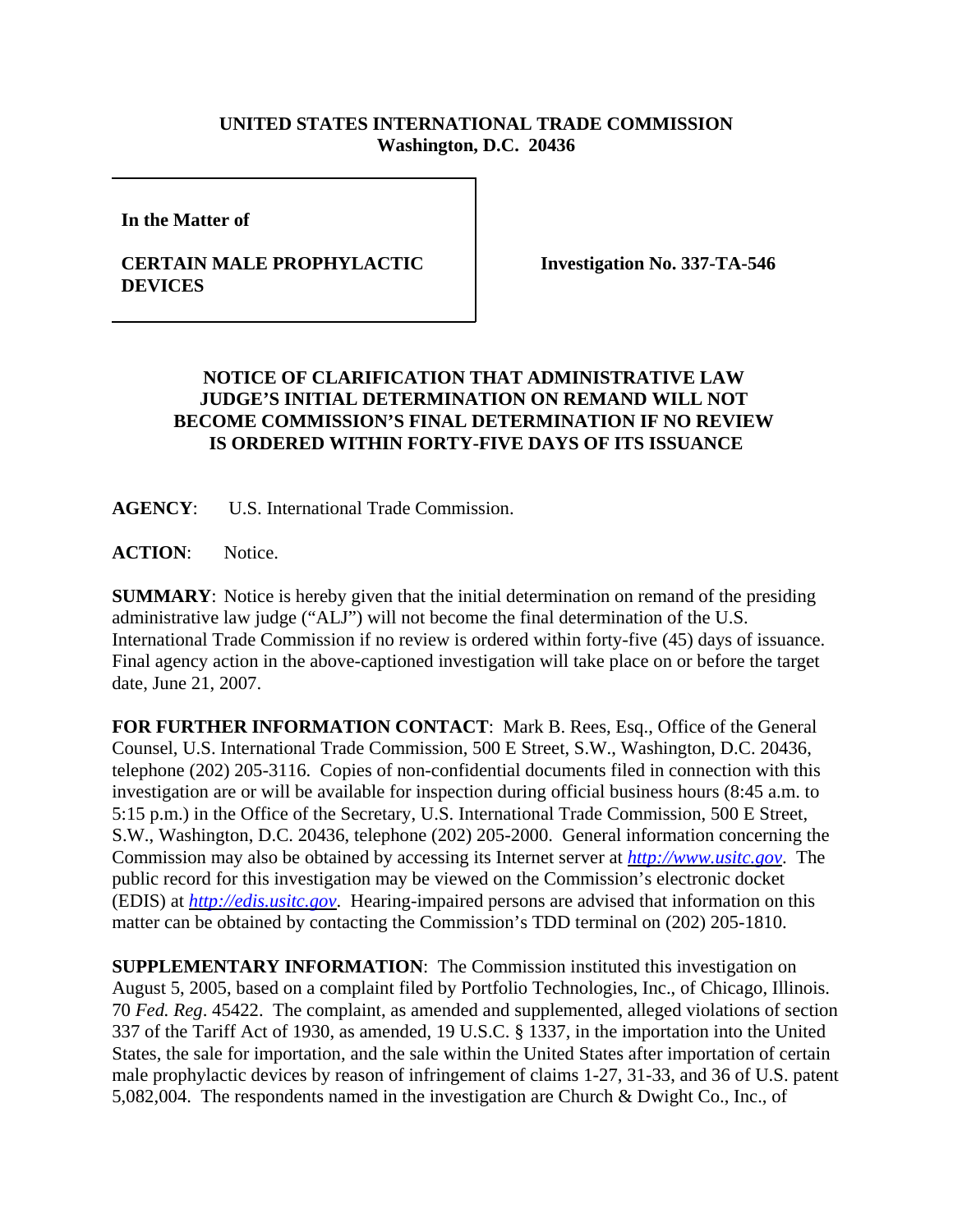## **UNITED STATES INTERNATIONAL TRADE COMMISSION Washington, D.C. 20436**

**In the Matter of** 

## **CERTAIN MALE PROPHYLACTIC DEVICES**

**Investigation No. 337-TA-546**

## **NOTICE OF CLARIFICATION THAT ADMINISTRATIVE LAW JUDGE'S INITIAL DETERMINATION ON REMAND WILL NOT BECOME COMMISSION'S FINAL DETERMINATION IF NO REVIEW IS ORDERED WITHIN FORTY-FIVE DAYS OF ITS ISSUANCE**

**AGENCY**: U.S. International Trade Commission.

ACTION: Notice.

**SUMMARY**: Notice is hereby given that the initial determination on remand of the presiding administrative law judge ("ALJ") will not become the final determination of the U.S. International Trade Commission if no review is ordered within forty-five (45) days of issuance. Final agency action in the above-captioned investigation will take place on or before the target date, June 21, 2007.

**FOR FURTHER INFORMATION CONTACT**: Mark B. Rees, Esq., Office of the General Counsel, U.S. International Trade Commission, 500 E Street, S.W., Washington, D.C. 20436, telephone (202) 205-3116. Copies of non-confidential documents filed in connection with this investigation are or will be available for inspection during official business hours (8:45 a.m. to 5:15 p.m.) in the Office of the Secretary, U.S. International Trade Commission, 500 E Street, S.W., Washington, D.C. 20436, telephone (202) 205-2000. General information concerning the Commission may also be obtained by accessing its Internet server at *http://www.usitc.gov*. The public record for this investigation may be viewed on the Commission's electronic docket (EDIS) at *http://edis.usitc.gov*. Hearing-impaired persons are advised that information on this matter can be obtained by contacting the Commission's TDD terminal on (202) 205-1810.

**SUPPLEMENTARY INFORMATION**: The Commission instituted this investigation on August 5, 2005, based on a complaint filed by Portfolio Technologies, Inc., of Chicago, Illinois. 70 *Fed. Reg*. 45422. The complaint, as amended and supplemented, alleged violations of section 337 of the Tariff Act of 1930, as amended, 19 U.S.C. § 1337, in the importation into the United States, the sale for importation, and the sale within the United States after importation of certain male prophylactic devices by reason of infringement of claims 1-27, 31-33, and 36 of U.S. patent 5,082,004. The respondents named in the investigation are Church & Dwight Co., Inc., of